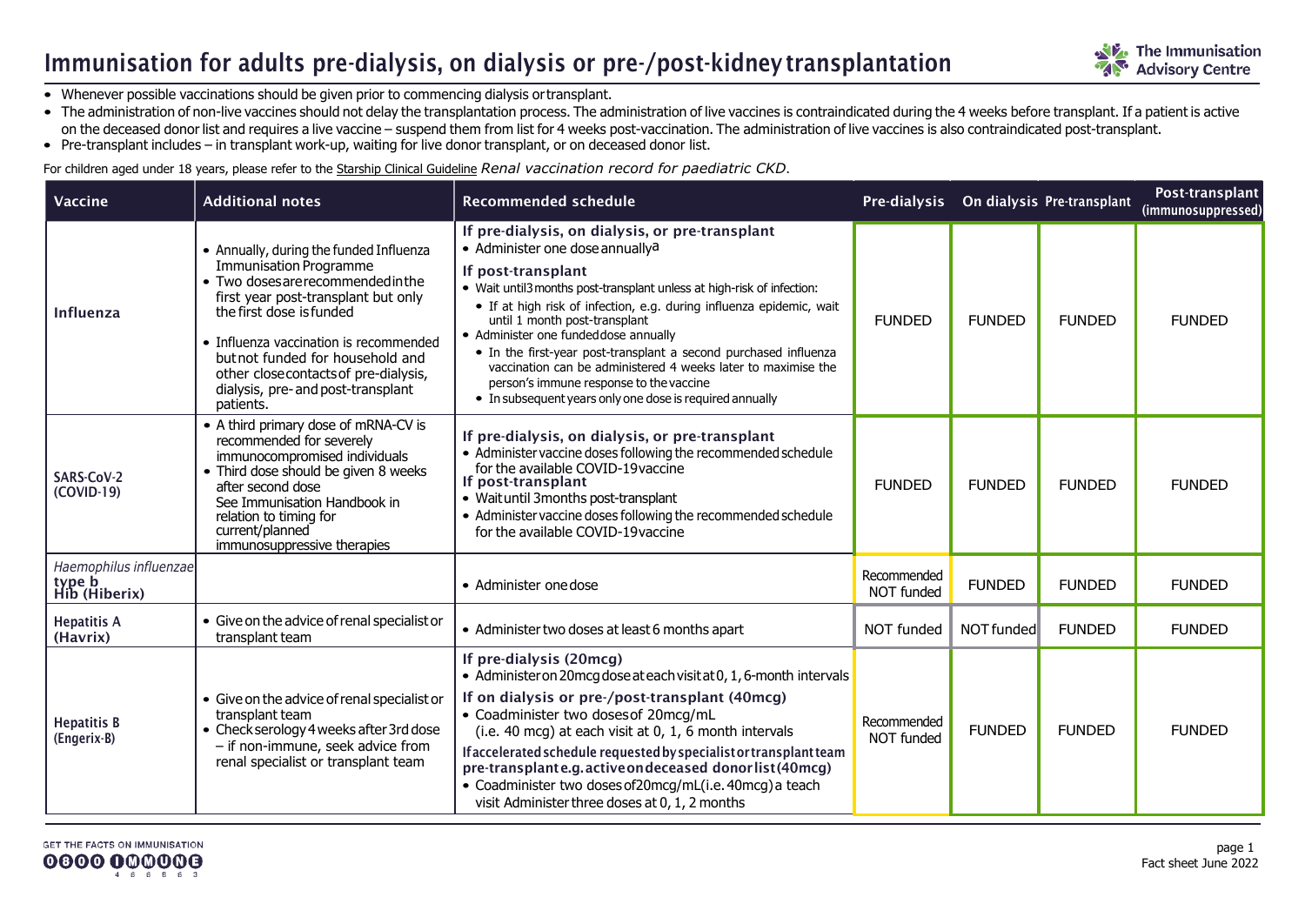### Immunisation for adults pre-dialysis, on dialysis or pre-/post-kidney transplantation

- Whenever possible vaccinations should be given prior to commencing dialysis ortransplant.
- The administration of non-live vaccines should not delay the transplantation process. The administration of live vaccines is contraindicated during the 4 weeks before transplant. If a patient is active on the deceased donor list and requires a live vaccine – suspend them from list for 4 weeks post-vaccination. The administration of live vaccines is also contraindicated post-transplant.
- Pre-transplant includes in transplant work-up, waiting for live donor transplant, or on deceased donor list.

For children aged under 18 years, please refer to th[e Starship Clinical Guideline](https://www.starship.org.nz/guidelines/renal-vaccination-record-for-starship-paediatric-ckd) *Renal vaccination record for paediatric CKD*.

| <b>Vaccine</b>                                    | <b>Additional notes</b>                                                                                                                                                                                                                                                                                                                                    | <b>Recommended schedule</b>                                                                                                                                                                                                                                                                                                                                                                                                                                                                                                                                                                  |                                  |               | Pre-dialysis On dialysis Pre-transplant | Post-transplant<br>(immunosuppressed) |
|---------------------------------------------------|------------------------------------------------------------------------------------------------------------------------------------------------------------------------------------------------------------------------------------------------------------------------------------------------------------------------------------------------------------|----------------------------------------------------------------------------------------------------------------------------------------------------------------------------------------------------------------------------------------------------------------------------------------------------------------------------------------------------------------------------------------------------------------------------------------------------------------------------------------------------------------------------------------------------------------------------------------------|----------------------------------|---------------|-----------------------------------------|---------------------------------------|
| Influenza                                         | • Annually, during the funded Influenza<br><b>Immunisation Programme</b><br>• Two doses are recommended in the<br>first year post-transplant but only<br>the first dose is funded<br>• Influenza vaccination is recommended<br>but not funded for household and<br>other closecontacts of pre-dialysis,<br>dialysis, pre- and post-transplant<br>patients. | If pre-dialysis, on dialysis, or pre-transplant<br>• Administer one dose annually <sup>a</sup><br>If post-transplant<br>• Wait until3 months post-transplant unless at high-risk of infection:<br>· If at high risk of infection, e.g. during influenza epidemic, wait<br>until 1 month post-transplant<br>• Administer one funded dose annually<br>• In the first-year post-transplant a second purchased influenza<br>vaccination can be administered 4 weeks later to maximise the<br>person's immune response to the vaccine<br>• In subsequent years only one dose is required annually | <b>FUNDED</b>                    | <b>FUNDED</b> | <b>FUNDED</b>                           | <b>FUNDED</b>                         |
| SARS-CoV-2<br>(COVID-19)                          | • A third primary dose of mRNA-CV is<br>recommended for severely<br>immunocompromised individuals<br>• Third dose should be given 8 weeks<br>after second dose<br>See Immunisation Handbook in<br>relation to timing for<br>current/planned<br>immunosuppressive therapies                                                                                 | If pre-dialysis, on dialysis, or pre-transplant<br>• Administer vaccine doses following the recommended schedule<br>for the available COVID-19 vaccine<br>If post-transplant<br>• Waituntil 3months post-transplant<br>• Administer vaccine doses following the recommended schedule<br>for the available COVID-19 vaccine                                                                                                                                                                                                                                                                   | <b>FUNDED</b>                    | <b>FUNDED</b> | <b>FUNDED</b>                           | <b>FUNDED</b>                         |
| Haemophilus influenzae<br>type b<br>Hib (Hiberix) |                                                                                                                                                                                                                                                                                                                                                            | • Administer one dose                                                                                                                                                                                                                                                                                                                                                                                                                                                                                                                                                                        | Recommended<br>NOT funded        | <b>FUNDED</b> | <b>FUNDED</b>                           | <b>FUNDED</b>                         |
| <b>Hepatitis A</b><br>(Havrix)                    | • Give on the advice of renal specialist or<br>transplant team                                                                                                                                                                                                                                                                                             | • Administer two doses at least 6 months apart                                                                                                                                                                                                                                                                                                                                                                                                                                                                                                                                               | NOT funded                       | NOT funded    | <b>FUNDED</b>                           | <b>FUNDED</b>                         |
| <b>Hepatitis B</b><br>(Engerix-B)                 | • Give on the advice of renal specialist or<br>transplant team<br>• Check serology 4 weeks after 3rd dose<br>- if non-immune, seek advice from<br>renal specialist or transplant team                                                                                                                                                                      | If pre-dialysis (20mcg)<br>• Administer on 20 mcg dose at each visit at 0, 1, 6-month intervals<br>If on dialysis or pre-/post-transplant (40mcg)<br>• Coadminister two doses of 20mcg/mL<br>(i.e. 40 mcg) at each visit at $0, 1, 6$ month intervals<br>If accelerated schedule requested by specialist or transplant team<br>pre-transplante.g.activeondeceased donorlist(40mcg)<br>• Coadminister two doses of 20mcg/mL(i.e. 40mcg) a teach<br>visit Administer three doses at 0, 1, 2 months                                                                                             | Recommended<br><b>NOT funded</b> | <b>FUNDED</b> | <b>FUNDED</b>                           | <b>FUNDED</b>                         |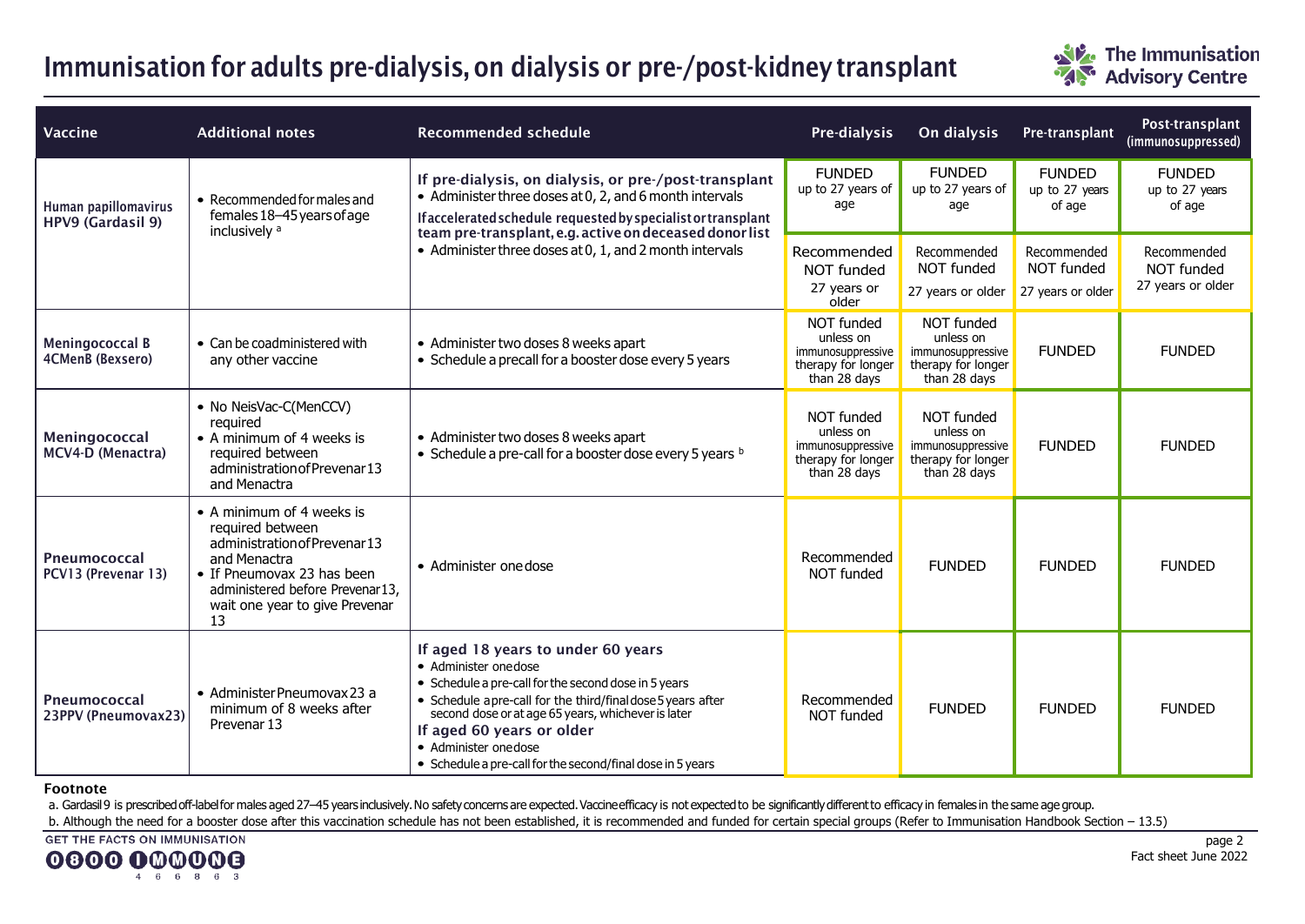# Immunisation for adults pre-dialysis, on dialysis or pre-/post-kidney transplant



| Vaccine                                    | <b>Additional notes</b>                                                                                                                                                                                 | <b>Recommended schedule</b>                                                                                                                                                                                                                                                                                                                                 | Pre-dialysis                                                                       | On dialysis                                                                               | Pre-transplant                                 | Post-transplant<br>(immunosuppressed)          |
|--------------------------------------------|---------------------------------------------------------------------------------------------------------------------------------------------------------------------------------------------------------|-------------------------------------------------------------------------------------------------------------------------------------------------------------------------------------------------------------------------------------------------------------------------------------------------------------------------------------------------------------|------------------------------------------------------------------------------------|-------------------------------------------------------------------------------------------|------------------------------------------------|------------------------------------------------|
| Human papillomavirus<br>HPV9 (Gardasil 9)  | • Recommended for males and<br>females 18-45 years of age<br>inclusively <sup>a</sup>                                                                                                                   | If pre-dialysis, on dialysis, or pre-/post-transplant<br>• Administer three doses at 0, 2, and 6 month intervals<br>If accelerated schedule requested by specialist or transplant<br>team pre-transplant, e.g. active on deceased donor list<br>• Administer three doses at 0, 1, and 2 month intervals                                                     | <b>FUNDED</b><br>up to 27 years of<br>age                                          | <b>FUNDED</b><br>up to 27 years of<br>age                                                 | <b>FUNDED</b><br>up to 27 years<br>of age      | <b>FUNDED</b><br>up to 27 years<br>of age      |
|                                            |                                                                                                                                                                                                         |                                                                                                                                                                                                                                                                                                                                                             | Recommended<br>NOT funded<br>27 years or<br>older                                  | Recommended<br><b>NOT funded</b><br>27 years or older                                     | Recommended<br>NOT funded<br>27 years or older | Recommended<br>NOT funded<br>27 years or older |
| <b>Meningococcal B</b><br>4CMenB (Bexsero) | • Can be coadministered with<br>any other vaccine                                                                                                                                                       | • Administer two doses 8 weeks apart<br>• Schedule a precall for a booster dose every 5 years                                                                                                                                                                                                                                                               | NOT funded<br>unless on<br>immunosuppressive<br>therapy for longer<br>than 28 days | <b>NOT funded</b><br>unless on<br>immunosuppressive<br>therapy for longer<br>than 28 days | <b>FUNDED</b>                                  | <b>FUNDED</b>                                  |
| Meningococcal<br>MCV4-D (Menactra)         | • No NeisVac-C(MenCCV)<br>required<br>• A minimum of 4 weeks is<br>required between<br>administration of Prevenar 13<br>and Menactra                                                                    | • Administer two doses 8 weeks apart<br>• Schedule a pre-call for a booster dose every 5 years b                                                                                                                                                                                                                                                            | NOT funded<br>unless on<br>immunosuppressive<br>therapy for longer<br>than 28 days | NOT funded<br>unless on<br>immunosuppressive<br>therapy for longer<br>than 28 days        | <b>FUNDED</b>                                  | <b>FUNDED</b>                                  |
| Pneumococcal<br>PCV13 (Prevenar 13)        | • A minimum of 4 weeks is<br>required between<br>administration of Prevenar 13<br>and Menactra<br>• If Pneumovax 23 has been<br>administered before Prevenar13,<br>wait one year to give Prevenar<br>13 | • Administer one dose                                                                                                                                                                                                                                                                                                                                       | Recommended<br>NOT funded                                                          | <b>FUNDED</b>                                                                             | <b>FUNDED</b>                                  | <b>FUNDED</b>                                  |
| Pneumococcal<br>23PPV (Pneumovax23)        | • Administer Pneumovax 23 a<br>minimum of 8 weeks after<br>Prevenar <sub>13</sub>                                                                                                                       | If aged 18 years to under 60 years<br>• Administer onedose<br>• Schedule a pre-call for the second dose in 5 years<br>• Schedule apre-call for the third/final dose 5 years after<br>second dose or at age 65 years, whichever is later<br>If aged 60 years or older<br>• Administer one dose<br>• Schedule a pre-call for the second/final dose in 5 years | Recommended<br>NOT funded                                                          | <b>FUNDED</b>                                                                             | <b>FUNDED</b>                                  | <b>FUNDED</b>                                  |

#### Footnote

a. Gardasil9 is prescribed off-label for males aged 27-45 years inclusively. No safety concerns are expected. Vaccine efficacy is not expected to be significantly different to efficacy in females in the same age group.

b. Although the need for a booster dose after this vaccination schedule has not been established, it is recommended and funded for certain special groups (Refer to Immunisation Handbook Section – 13.5)